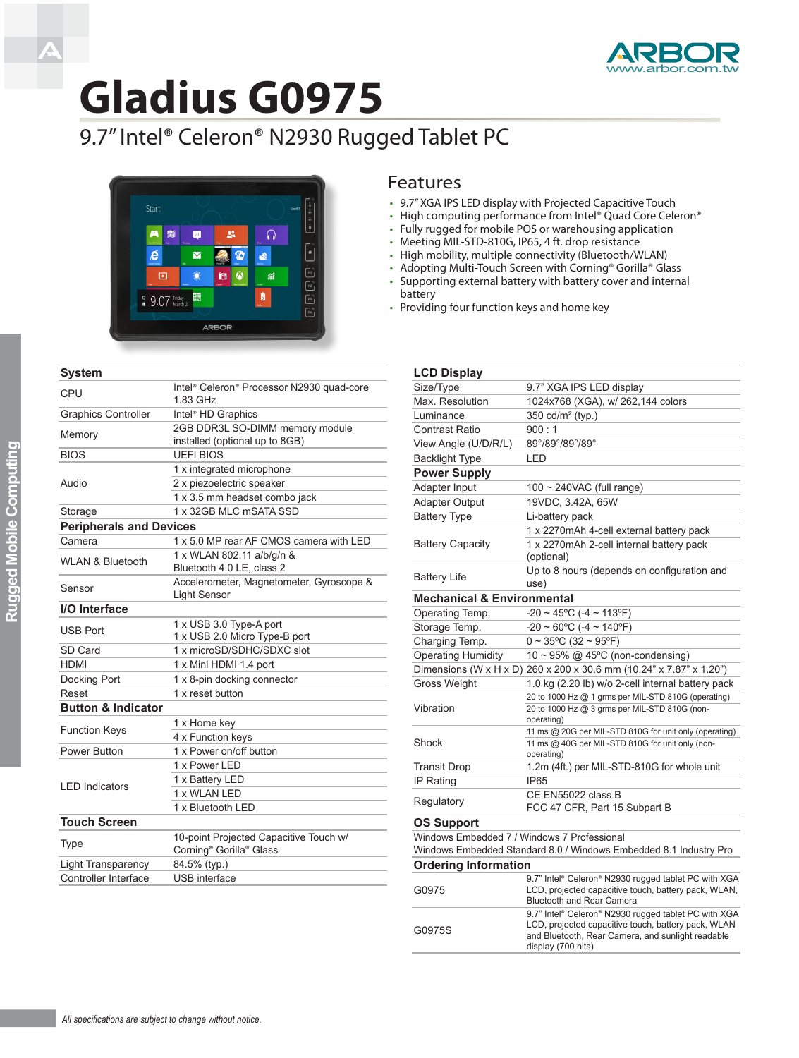

## **Gladius G0975**

## 9.7" Intel® Celeron® N2930 Rugged Tablet PC



| <b>System</b>                  |                                                                               |  |  |
|--------------------------------|-------------------------------------------------------------------------------|--|--|
| CPU                            | Intel® Celeron® Processor N2930 quad-core<br>1.83 GHz                         |  |  |
| <b>Graphics Controller</b>     | Intel <sup>®</sup> HD Graphics                                                |  |  |
| Memory                         | 2GB DDR3L SO-DIMM memory module<br>installed (optional up to 8GB)             |  |  |
| <b>BIOS</b>                    | <b>UEFIBIOS</b>                                                               |  |  |
| Audio                          | 1 x integrated microphone                                                     |  |  |
|                                | 2 x piezoelectric speaker                                                     |  |  |
|                                | 1 x 3.5 mm headset combo jack                                                 |  |  |
| Storage                        | 1 x 32GB MLC mSATA SSD                                                        |  |  |
| <b>Peripherals and Devices</b> |                                                                               |  |  |
| Camera                         | 1 x 5.0 MP rear AF CMOS camera with LED                                       |  |  |
| <b>WLAN &amp; Bluetooth</b>    | 1 x WLAN 802.11 a/b/g/n &<br>Bluetooth 4.0 LE, class 2                        |  |  |
| Sensor                         | Accelerometer, Magnetometer, Gyroscope &<br><b>Light Sensor</b>               |  |  |
| I/O Interface                  |                                                                               |  |  |
| <b>USB Port</b>                | 1 x USB 3.0 Type-A port                                                       |  |  |
|                                | 1 x USB 2.0 Micro Type-B port                                                 |  |  |
| SD Card                        | 1 x microSD/SDHC/SDXC slot                                                    |  |  |
| <b>HDMI</b>                    | 1 x Mini HDMI 1.4 port                                                        |  |  |
| Docking Port                   | 1 x 8-pin docking connector                                                   |  |  |
| Reset                          | 1 x reset button                                                              |  |  |
| <b>Button &amp; Indicator</b>  |                                                                               |  |  |
| <b>Function Keys</b>           | 1 x Home key                                                                  |  |  |
|                                | 4 x Function keys                                                             |  |  |
| Power Button                   | 1 x Power on/off button                                                       |  |  |
| <b>LED Indicators</b>          | 1 x Power LED                                                                 |  |  |
|                                | 1 x Battery LED                                                               |  |  |
|                                | 1 x WLAN LED                                                                  |  |  |
|                                | 1 x Bluetooth LED                                                             |  |  |
| <b>Touch Screen</b>            |                                                                               |  |  |
| <b>Type</b>                    | 10-point Projected Capacitive Touch w/<br>Corning <sup>®</sup> Gorilla® Glass |  |  |
| <b>Light Transparency</b>      | 84.5% (typ.)                                                                  |  |  |
| Controller Interface           | <b>USB</b> interface                                                          |  |  |

## Features

- • 9.7" XGA IPS LED display with Projected Capacitive Touch
- High computing performance from Intel® Quad Core Celeron®
- Fully rugged for mobile POS or warehousing application
- Meeting MIL-STD-810G, IP65, 4 ft. drop resistance
- • High mobility, multiple connectivity (Bluetooth/WLAN)
- Adopting Multi-Touch Screen with Corning® Gorilla® Glass
- Supporting external battery with battery cover and internal battery
- Providing four function keys and home key

| <b>LCD Display</b>                          |                                                                                                                                                                  |  |
|---------------------------------------------|------------------------------------------------------------------------------------------------------------------------------------------------------------------|--|
| Size/Type                                   | 9.7" XGA IPS LED display                                                                                                                                         |  |
| Max. Resolution                             | 1024x768 (XGA), w/ 262,144 colors                                                                                                                                |  |
| Luminance                                   | 350 cd/m <sup>2</sup> (typ.)                                                                                                                                     |  |
| <b>Contrast Ratio</b>                       | 900:1                                                                                                                                                            |  |
| View Angle (U/D/R/L)                        | 89°/89°/89°/89°                                                                                                                                                  |  |
| <b>Backlight Type</b>                       | LED                                                                                                                                                              |  |
| <b>Power Supply</b>                         |                                                                                                                                                                  |  |
| Adapter Input                               | $100 \sim 240$ VAC (full range)                                                                                                                                  |  |
| <b>Adapter Output</b>                       | 19VDC, 3.42A, 65W                                                                                                                                                |  |
| <b>Battery Type</b>                         | Li-battery pack                                                                                                                                                  |  |
|                                             | 1 x 2270mAh 4-cell external battery pack                                                                                                                         |  |
| <b>Battery Capacity</b>                     | 1 x 2270mAh 2-cell internal battery pack<br>(optional)                                                                                                           |  |
| <b>Battery Life</b>                         | Up to 8 hours (depends on configuration and<br>use)                                                                                                              |  |
| <b>Mechanical &amp; Environmental</b>       |                                                                                                                                                                  |  |
| Operating Temp.                             | $-20 \sim 45^{\circ}$ C ( $-4 \sim 113^{\circ}$ F)                                                                                                               |  |
| Storage Temp.                               | $-20 \sim 60^{\circ}$ C (-4 ~ 140°F)                                                                                                                             |  |
| Charging Temp.                              | $0 \sim 35^{\circ}$ C (32 ~ 95°F)                                                                                                                                |  |
| <b>Operating Humidity</b>                   | 10~95% @ 45°C (non-condensing)                                                                                                                                   |  |
|                                             | Dimensions (W x H x D) 260 x 200 x 30.6 mm (10.24" x 7.87" x 1.20")                                                                                              |  |
| <b>Gross Weight</b>                         | 1.0 kg (2.20 lb) w/o 2-cell internal battery pack                                                                                                                |  |
|                                             | 20 to 1000 Hz @ 1 grms per MIL-STD 810G (operating)                                                                                                              |  |
| Vibration                                   | 20 to 1000 Hz @ 3 grms per MIL-STD 810G (non-<br>operating)                                                                                                      |  |
|                                             | 11 ms @ 20G per MIL-STD 810G for unit only (operating)                                                                                                           |  |
| Shock                                       | 11 ms @ 40G per MIL-STD 810G for unit only (non-<br>operating)                                                                                                   |  |
| <b>Transit Drop</b>                         | 1.2m (4ft.) per MIL-STD-810G for whole unit                                                                                                                      |  |
| IP Rating                                   | <b>IP65</b>                                                                                                                                                      |  |
| Regulatory                                  | CE EN55022 class B<br>FCC 47 CFR, Part 15 Subpart B                                                                                                              |  |
| <b>OS Support</b>                           |                                                                                                                                                                  |  |
| Windows Embedded 7 / Windows 7 Professional |                                                                                                                                                                  |  |
|                                             | Windows Embedded Standard 8.0 / Windows Embedded 8.1 Industry Pro                                                                                                |  |
| <b>Ordering Information</b>                 |                                                                                                                                                                  |  |
| G0975                                       | 9.7" Intel® Celeron® N2930 rugged tablet PC with XGA<br>LCD, projected capacitive touch, battery pack, WLAN,<br><b>Bluetooth and Rear Camera</b>                 |  |
| G0975S                                      | 9.7" Intel® Celeron® N2930 rugged tablet PC with XGA<br>LCD, projected capacitive touch, battery pack, WLAN<br>and Bluetooth, Rear Camera, and sunlight readable |  |

display (700 nits)